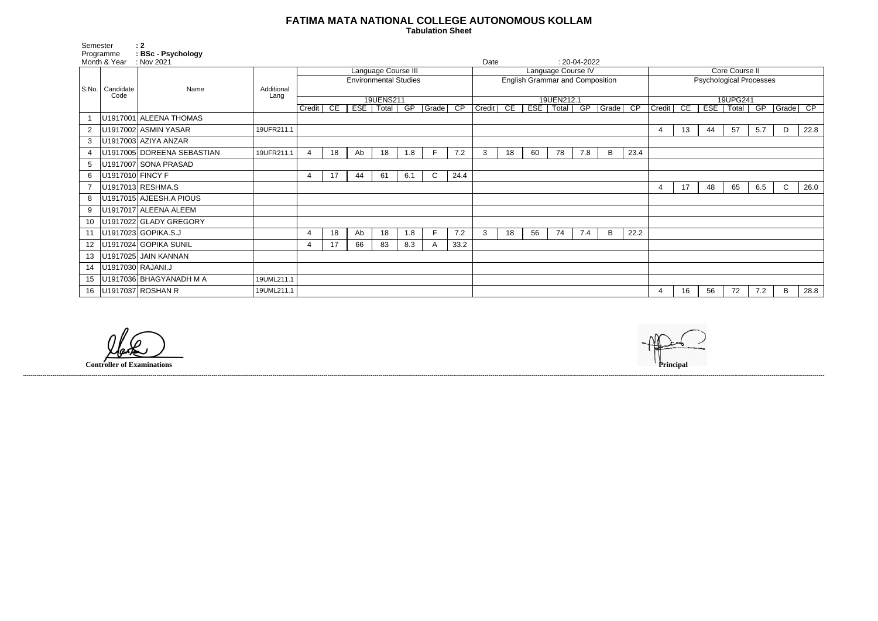## **FATIMA MATA NATIONAL COLLEGE AUTONOMOUS KOLLAM**

 **Tabulation Sheet** 

| <b>Core Course II</b>          |                                    |     |                      |     |   |      |  |  |  |  |  |  |  |
|--------------------------------|------------------------------------|-----|----------------------|-----|---|------|--|--|--|--|--|--|--|
| <b>Psychological Processes</b> |                                    |     |                      |     |   |      |  |  |  |  |  |  |  |
|                                |                                    |     |                      |     |   |      |  |  |  |  |  |  |  |
|                                | 19UPG241<br>$\overline{\text{CP}}$ |     |                      |     |   |      |  |  |  |  |  |  |  |
| Credit                         | CE                                 | ESE | Total<br>GP<br>Grade |     |   |      |  |  |  |  |  |  |  |
|                                |                                    |     |                      |     |   |      |  |  |  |  |  |  |  |
| 4                              | 13                                 | 44  | 57                   | 5.7 | D | 22.8 |  |  |  |  |  |  |  |
|                                |                                    |     |                      |     |   |      |  |  |  |  |  |  |  |
|                                |                                    |     |                      |     |   |      |  |  |  |  |  |  |  |
|                                |                                    |     |                      |     |   |      |  |  |  |  |  |  |  |
|                                |                                    |     |                      |     |   |      |  |  |  |  |  |  |  |
| 4                              | 17                                 | 48  | 65                   | 6.5 | C | 26.0 |  |  |  |  |  |  |  |
|                                |                                    |     |                      |     |   |      |  |  |  |  |  |  |  |
|                                |                                    |     |                      |     |   |      |  |  |  |  |  |  |  |
|                                |                                    |     |                      |     |   |      |  |  |  |  |  |  |  |
|                                |                                    |     |                      |     |   |      |  |  |  |  |  |  |  |
|                                |                                    |     |                      |     |   |      |  |  |  |  |  |  |  |
|                                |                                    |     |                      |     |   |      |  |  |  |  |  |  |  |
|                                |                                    |     |                      |     |   |      |  |  |  |  |  |  |  |
|                                |                                    |     |                      |     |   |      |  |  |  |  |  |  |  |
| 4                              | 16                                 | 56  | 72                   | 7.2 | В | 28.8 |  |  |  |  |  |  |  |

| Semester       | Programme<br>Month & Year | $\therefore$ 2<br>: BSc - Psychology<br>: Nov 2021 |            |                              |    |     |                     |     |               |                 | Date                                   |                    |     |            | $: 20-04-2022$ |       |                 |                                |                |    |             |     |              |      |  |
|----------------|---------------------------|----------------------------------------------------|------------|------------------------------|----|-----|---------------------|-----|---------------|-----------------|----------------------------------------|--------------------|-----|------------|----------------|-------|-----------------|--------------------------------|----------------|----|-------------|-----|--------------|------|--|
|                |                           |                                                    |            |                              |    |     | Language Course III |     |               |                 |                                        | Language Course IV |     |            |                |       |                 |                                | Core Course II |    |             |     |              |      |  |
| S.No.          | Candidate                 | Name                                               | Additional | <b>Environmental Studies</b> |    |     |                     |     |               |                 | <b>English Grammar and Composition</b> |                    |     |            |                |       |                 | <b>Psychological Processes</b> |                |    |             |     |              |      |  |
|                | Code                      |                                                    | Lang       |                              |    |     | 19UENS211           |     |               |                 |                                        |                    |     | 19UEN212.1 |                |       |                 | 19UPG241                       |                |    |             |     |              |      |  |
|                |                           |                                                    |            | Credit                       | CE | EST | Total               | GP  | $ $ Grade $ $ | $\overline{CP}$ | Credit                                 | CE                 | EST | Total      | GP             | Grade | $\overline{CP}$ | Credit                         | CE             |    | ESE   Total | GP  | Grade CP     |      |  |
|                |                           | U1917001 ALEENA THOMAS                             |            |                              |    |     |                     |     |               |                 |                                        |                    |     |            |                |       |                 |                                |                |    |             |     |              |      |  |
| $\overline{2}$ |                           | U1917002 ASMIN YASAR                               | 19UFR211.1 |                              |    |     |                     |     |               |                 |                                        |                    |     |            |                |       |                 |                                | 13             | 44 | 57          | 5.7 | D            | 22.8 |  |
| 3              |                           | U1917003 AZIYA ANZAR                               |            |                              |    |     |                     |     |               |                 |                                        |                    |     |            |                |       |                 |                                |                |    |             |     |              |      |  |
|                |                           | U1917005 DOREENA SEBASTIAN                         | 19UFR211.1 | $\overline{4}$               | 18 | Ab  | 18                  | 1.8 | F             | 7.2             | 3                                      | 18                 | 60  | 78         | 7.8            | B     | 23.4            |                                |                |    |             |     |              |      |  |
| 5              |                           | U1917007 SONA PRASAD                               |            |                              |    |     |                     |     |               |                 |                                        |                    |     |            |                |       |                 |                                |                |    |             |     |              |      |  |
| 6              | U1917010 FINCY F          |                                                    |            | 4                            | 17 | 44  | 61                  | 6.1 | $\mathsf{C}$  | 24.4            |                                        |                    |     |            |                |       |                 |                                |                |    |             |     |              |      |  |
|                |                           | U1917013 RESHMA.S                                  |            |                              |    |     |                     |     |               |                 |                                        |                    |     |            |                |       |                 |                                | 17             | 48 | 65          | 6.5 | $\mathsf{C}$ | 26.0 |  |
| 8              |                           | U1917015 AJEESH.A PIOUS                            |            |                              |    |     |                     |     |               |                 |                                        |                    |     |            |                |       |                 |                                |                |    |             |     |              |      |  |
| 9              |                           | U1917017 ALEENA ALEEM                              |            |                              |    |     |                     |     |               |                 |                                        |                    |     |            |                |       |                 |                                |                |    |             |     |              |      |  |
|                |                           | U1917022 GLADY GREGORY                             |            |                              |    |     |                     |     |               |                 |                                        |                    |     |            |                |       |                 |                                |                |    |             |     |              |      |  |
|                |                           | U1917023 GOPIKA.S.J                                |            | $\overline{4}$               | 18 | Ab  | 18                  | 1.8 | F.            | 7.2             | 3                                      | 18                 | 56  | 74         | 7.4            | B.    | 22.2            |                                |                |    |             |     |              |      |  |
| 12             |                           | U1917024 GOPIKA SUNIL                              |            | $\overline{4}$               | 17 | 66  | 83                  | 8.3 | A             | 33.2            |                                        |                    |     |            |                |       |                 |                                |                |    |             |     |              |      |  |
| 13             |                           | U1917025 JAIN KANNAN                               |            |                              |    |     |                     |     |               |                 |                                        |                    |     |            |                |       |                 |                                |                |    |             |     |              |      |  |
| 14             |                           | U1917030 RAJANI.J                                  |            |                              |    |     |                     |     |               |                 |                                        |                    |     |            |                |       |                 |                                |                |    |             |     |              |      |  |
| 15             |                           | U1917036 BHAGYANADH M A                            | 19UML211.1 |                              |    |     |                     |     |               |                 |                                        |                    |     |            |                |       |                 |                                |                |    |             |     |              |      |  |
| 16             |                           | U1917037 ROSHAN R                                  | 19UML211.1 |                              |    |     |                     |     |               |                 |                                        |                    |     |            |                |       |                 |                                | 16             | 56 | 72          | 7.2 | B            | 28.8 |  |

**Controller of Examinations** 



------------------------------------------------------------------------------------------------------------------------------------------------------------------------------------------------------------------------------------------------------------------------------------------------------------------------------------------------------------------------------------------------------------------------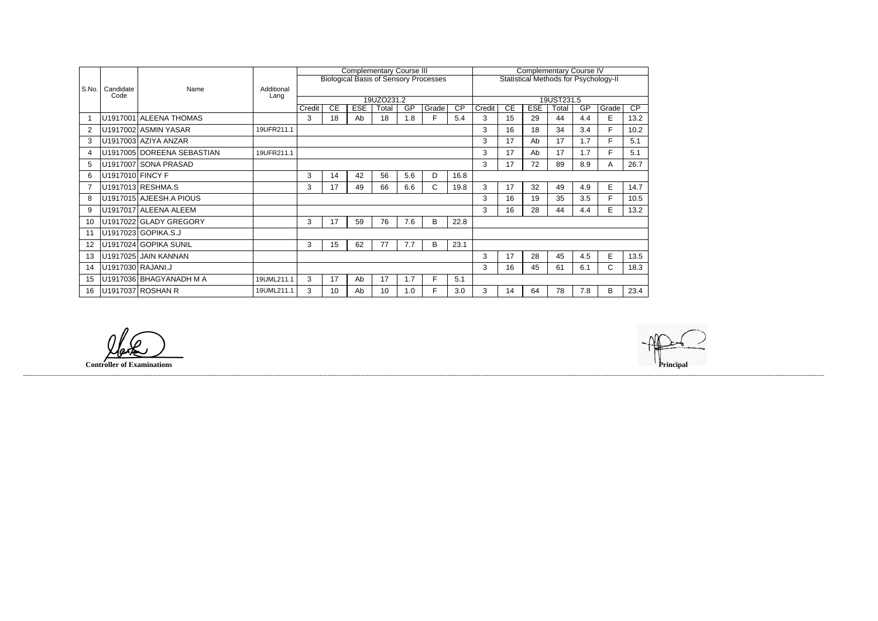|       |                   |                            |                    | <b>Complementary Course III</b> |    |            |       |     |                                              |                                              |        | <b>Complementary Course IV</b> |            |       |     |             |                 |  |  |
|-------|-------------------|----------------------------|--------------------|---------------------------------|----|------------|-------|-----|----------------------------------------------|----------------------------------------------|--------|--------------------------------|------------|-------|-----|-------------|-----------------|--|--|
|       |                   |                            |                    |                                 |    |            |       |     | <b>Biological Basis of Sensory Processes</b> | <b>Statistical Methods for Psychology-II</b> |        |                                |            |       |     |             |                 |  |  |
| S.No. | Candidate<br>Code | Name                       | Additional<br>Lang |                                 |    |            |       |     |                                              |                                              |        |                                |            |       |     |             |                 |  |  |
|       |                   |                            |                    | 19UZO231.2                      |    |            |       |     |                                              |                                              |        | 19UST231.5                     |            |       |     |             |                 |  |  |
|       |                   |                            |                    | Credit                          | CE | <b>ESE</b> | Total | GP  | Grade                                        | $\overline{CP}$                              | Credit | CE                             | <b>ESE</b> | Total | GP  | Grade       | $\overline{CP}$ |  |  |
|       |                   | U1917001 ALEENA THOMAS     |                    | 3                               | 18 | Ab         | 18    | 1.8 | Е                                            | 5.4                                          | 3      | 15                             | 29         | 44    | 4.4 | E           | 13.2            |  |  |
| 2     |                   | U1917002 ASMIN YASAR       | 19UFR211.1         |                                 |    |            |       |     |                                              |                                              | 3      | 16                             | 18         | 34    | 3.4 | F.          | 10.2            |  |  |
| 3     |                   | U1917003 AZIYA ANZAR       |                    |                                 |    |            |       |     |                                              |                                              | 3      | 17                             | Ab         | 17    | 1.7 | F.          | 5.1             |  |  |
| 4     |                   | U1917005 DOREENA SEBASTIAN | 19UFR211.1         |                                 |    |            |       |     |                                              |                                              | 3      | 17                             | Ab         | 17    | 1.7 | F           | 5.1             |  |  |
| 5     |                   | U1917007 SONA PRASAD       |                    |                                 |    |            |       |     |                                              |                                              | 3      | 17                             | 72         | 89    | 8.9 | A           | 26.7            |  |  |
| 6     | U1917010 FINCY F  |                            |                    | 3                               | 14 | 42         | 56    | 5.6 | D                                            | 16.8                                         |        |                                |            |       |     |             |                 |  |  |
|       |                   | U1917013 RESHMA.S          |                    | 3                               | 17 | 49         | 66    | 6.6 | $\mathsf{C}$                                 | 19.8                                         | 3      | 17                             | 32         | 49    | 4.9 | E           | 14.7            |  |  |
| 8     |                   | U1917015 AJEESH.A PIOUS    |                    |                                 |    |            |       |     |                                              |                                              | 3      | 16                             | 19         | 35    | 3.5 | F           | 10.5            |  |  |
| 9     |                   | U1917017 ALEENA ALEEM      |                    |                                 |    |            |       |     |                                              |                                              | 3      | 16                             | 28         | 44    | 4.4 | E           | 13.2            |  |  |
| 10    |                   | U1917022 GLADY GREGORY     |                    | 3                               | 17 | 59         | 76    | 7.6 | В                                            | 22.8                                         |        |                                |            |       |     |             |                 |  |  |
| 11    |                   | U1917023 GOPIKA.S.J        |                    |                                 |    |            |       |     |                                              |                                              |        |                                |            |       |     |             |                 |  |  |
| 12    |                   | U1917024 GOPIKA SUNIL      |                    | 3                               | 15 | 62         | 77    | 7.7 | B                                            | 23.1                                         |        |                                |            |       |     |             |                 |  |  |
| 13    |                   | U1917025 JAIN KANNAN       |                    |                                 |    |            |       |     |                                              |                                              | 3      | 17                             | 28         | 45    | 4.5 | E           | 13.5            |  |  |
| 14    |                   | U1917030 RAJANI.J          |                    |                                 |    |            |       |     |                                              |                                              | 3      | 16                             | 45         | 61    | 6.1 | $\mathsf C$ | 18.3            |  |  |
| 15    |                   | U1917036 BHAGYANADH M A    | 19UML211.1         | 3                               | 17 | Ab         | 17    | 1.7 | F                                            | 5.1                                          |        |                                |            |       |     |             |                 |  |  |
| 16    |                   | U1917037 ROSHAN R          | 19UML211.1         | 3                               | 10 | Ab         | 10    | 1.0 |                                              | 3.0                                          | 3      | 14                             | 64         | 78    | 7.8 | B           | 23.4            |  |  |

------------------------------------------------------------------------------------------------------------------------------------------------------------------------------------------------------------------------------------------------------------------------------------------------------------------------------------------------------------------------------------------------------------------------

**Controller of Examinations**